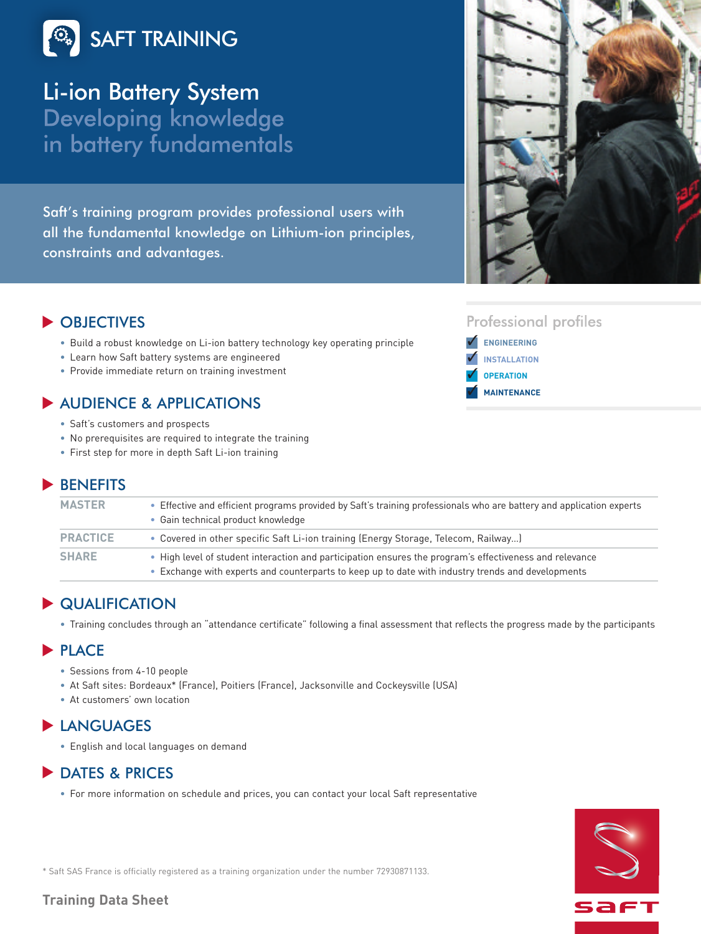

Li-ion Battery SystemDeveloping knowledge in battery fundamentals

Saft's training program provides professional users with all the fundamental knowledge on Lithium-ion principles, constraints and advantages.



# OBJECTIVES **▼**

- Build a robust knowledge on Li-ion battery technology key operating principle
- Learn how Saft battery systems are engineered
- Provide immediate return on training investment

## ◆ AUDIENCE & APPLICATIONS

- Saft's customers and prospects
- No prerequisites are required to integrate the training
- First step for more in depth Saft Li-ion training

### BENEFITS **▼**

| <b>MASTER</b>   | • Effective and efficient programs provided by Saft's training professionals who are battery and application experts<br>• Gain technical product knowledge                                                   |
|-----------------|--------------------------------------------------------------------------------------------------------------------------------------------------------------------------------------------------------------|
| <b>PRACTICE</b> | • Covered in other specific Saft Li-ion training (Energy Storage, Telecom, Railway)                                                                                                                          |
| <b>SHARE</b>    | • High level of student interaction and participation ensures the program's effectiveness and relevance<br>• Exchange with experts and counterparts to keep up to date with industry trends and developments |

## **▶ QUALIFICATION**

• Training concludes through an "attendance certificate" following a final assessment that reflects the progress made by the participants

#### PLACE **▼**

- Sessions from 4-10 people
- At Saft sites: Bordeaux\* (France), Poitiers (France), Jacksonville and Cockeysville (USA)
- At customers' own location

### **▶ LANGUAGES**

• English and local languages on demand

## ▶ DATES & PRICES

• For more information on schedule and prices, you can contact your local Saft representative



\* Saft SAS France is officially registered as a training organization under the number 72930871133.

### **Training Data Sheet**